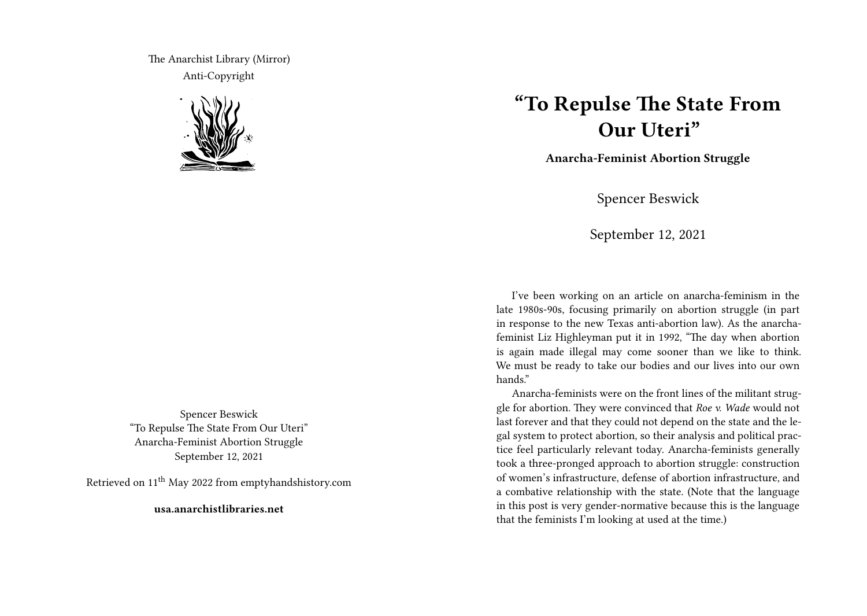The Anarchist Library (Mirror) Anti-Copyright



Spencer Beswick "To Repulse The State From Our Uteri" Anarcha-Feminist Abortion Struggle September 12, 2021

Retrieved on 11th May 2022 from emptyhandshistory.com

**usa.anarchistlibraries.net**

## **"To Repulse The State From Our Uteri"**

**Anarcha-Feminist Abortion Struggle**

Spencer Beswick

September 12, 2021

I've been working on an article on anarcha-feminism in the late 1980s-90s, focusing primarily on abortion struggle (in part in response to the new Texas anti-abortion law). As the anarchafeminist Liz Highleyman put it in 1992, "The day when abortion is again made illegal may come sooner than we like to think. We must be ready to take our bodies and our lives into our own hands."

Anarcha-feminists were on the front lines of the militant struggle for abortion. They were convinced that *Roe v. Wade* would not last forever and that they could not depend on the state and the legal system to protect abortion, so their analysis and political practice feel particularly relevant today. Anarcha-feminists generally took a three-pronged approach to abortion struggle: construction of women's infrastructure, defense of abortion infrastructure, and a combative relationship with the state. (Note that the language in this post is very gender-normative because this is the language that the feminists I'm looking at used at the time.)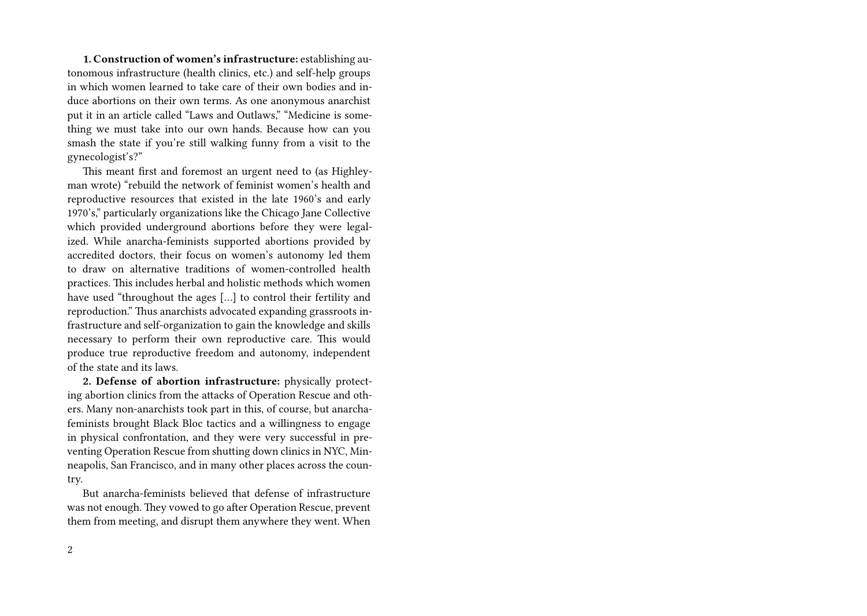**1. Construction of women's infrastructure:** establishing autonomous infrastructure (health clinics, etc.) and self-help groups in which women learned to take care of their own bodies and induce abortions on their own terms. As one anonymous anarchist put it in an article called "Laws and Outlaws," "Medicine is something we must take into our own hands. Because how can you smash the state if you're still walking funny from a visit to the gynecologist's?"

This meant first and foremost an urgent need to (as Highleyman wrote) "rebuild the network of feminist women's health and reproductive resources that existed in the late 1960's and early 1970's," particularly organizations like the Chicago Jane Collective which provided underground abortions before they were legalized. While anarcha-feminists supported abortions provided by accredited doctors, their focus on women's autonomy led them to draw on alternative traditions of women-controlled health practices. This includes herbal and holistic methods which women have used "throughout the ages […] to control their fertility and reproduction." Thus anarchists advocated expanding grassroots infrastructure and self-organization to gain the knowledge and skills necessary to perform their own reproductive care. This would produce true reproductive freedom and autonomy, independent of the state and its laws.

**2. Defense of abortion infrastructure:** physically protecting abortion clinics from the attacks of Operation Rescue and others. Many non-anarchists took part in this, of course, but anarchafeminists brought Black Bloc tactics and a willingness to engage in physical confrontation, and they were very successful in preventing Operation Rescue from shutting down clinics in NYC, Minneapolis, San Francisco, and in many other places across the country.

But anarcha-feminists believed that defense of infrastructure was not enough. They vowed to go after Operation Rescue, prevent them from meeting, and disrupt them anywhere they went. When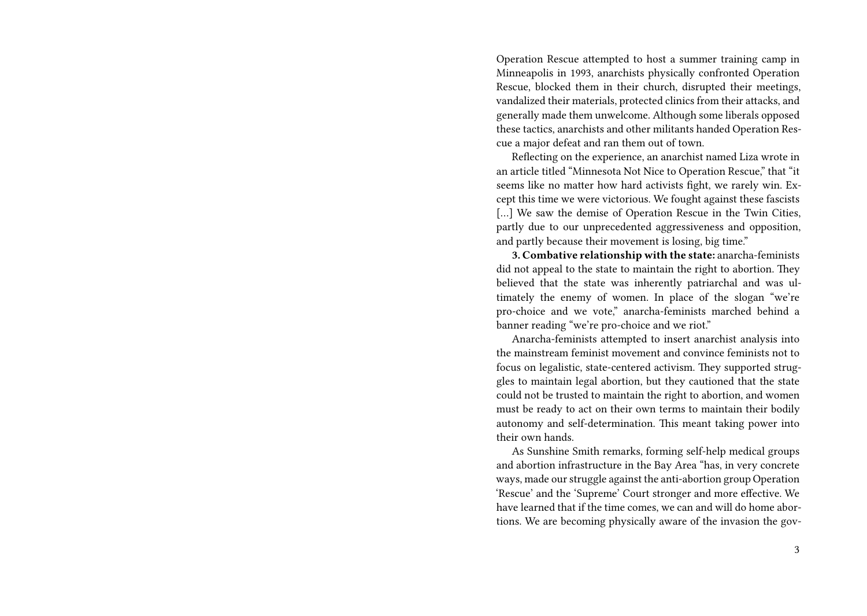Operation Rescue attempted to host a summer training camp in Minneapolis in 1993, anarchists physically confronted Operation Rescue, blocked them in their church, disrupted their meetings, vandalized their materials, protected clinics from their attacks, and generally made them unwelcome. Although some liberals opposed these tactics, anarchists and other militants handed Operation Rescue a major defeat and ran them out of town.

Reflecting on the experience, an anarchist named Liza wrote in an article titled "Minnesota Not Nice to Operation Rescue," that "it seems like no matter how hard activists fight, we rarely win. Except this time we were victorious. We fought against these fascists [...] We saw the demise of Operation Rescue in the Twin Cities, partly due to our unprecedented aggressiveness and opposition, and partly because their movement is losing, big time."

**3. Combative relationship with the state:** anarcha-feminists did not appeal to the state to maintain the right to abortion. They believed that the state was inherently patriarchal and was ultimately the enemy of women. In place of the slogan "we're pro-choice and we vote," anarcha-feminists marched behind a banner reading "we're pro-choice and we riot."

Anarcha-feminists attempted to insert anarchist analysis into the mainstream feminist movement and convince feminists not to focus on legalistic, state-centered activism. They supported struggles to maintain legal abortion, but they cautioned that the state could not be trusted to maintain the right to abortion, and women must be ready to act on their own terms to maintain their bodily autonomy and self-determination. This meant taking power into their own hands.

As Sunshine Smith remarks, forming self-help medical groups and abortion infrastructure in the Bay Area "has, in very concrete ways, made our struggle against the anti-abortion group Operation 'Rescue' and the 'Supreme' Court stronger and more effective. We have learned that if the time comes, we can and will do home abortions. We are becoming physically aware of the invasion the gov